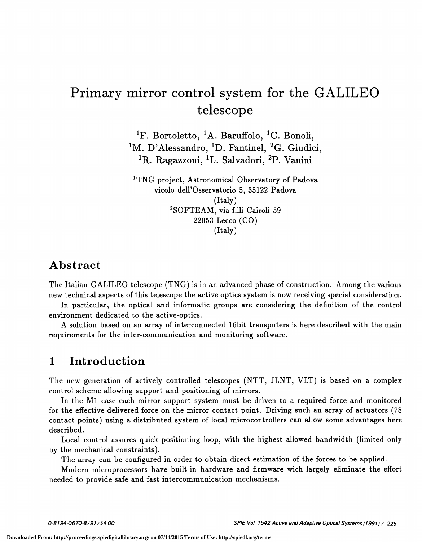# Primary mirror control system for the GALILEO telescope

<sup>1</sup>F. Bortoletto, <sup>1</sup>A. Baruffolo, <sup>1</sup>C. Bonoli, <sup>1</sup>M. D'Alessandro, <sup>1</sup>D. Fantinel, <sup>2</sup>G. Giudici, <sup>1</sup>R. Ragazzoni, <sup>1</sup>L. Salvadori, <sup>2</sup>P. Vanini

<sup>1</sup>TNG project, Astronomical Observatory of Padova vicolo dell'Osservatorio 5, 35122 Padova (Italy) <sup>2</sup>SOFTEAM, via f.lli Cairoli 59 22053 Lecco (CO) (Italy)

#### Abstract

The Italian GALILEO telescope (TNG) is in an advanced phase of construction. Among the various new technical aspects of this telescope the active optics system is now receiving special consideration.

In particular, the optical and informatic groups are considering the definition of the control environment dedicated to the active-optics.

A solution based on an array of interconnected l6bit transputers is here described with the main requirements for the inter-communication and monitoring software.

#### 1 Introduction

The new generation of actively controlled telescopes (NTT, JLNT, VLT) is based on a complex control scheme allowing support and positioning of mirrors.

In the Ml case each mirror support system must be driven to a required force and monitored for the effective delivered force on the mirror contact point. Driving such an array of actuators (78 contact points) using a distributed system of local microcontrollers can allow some advantages here described.

Local control assures quick positioning ioop, with the highest allowed bandwidth (limited oniy by the mechanical constraints).

The array can be configured in order to obtain direct estimation of the forces to be applied.

Modern microprocessors have built-in hardware and firmware wich largely eliminate the effort needed to provide safe and fast intercommunication mechanisms.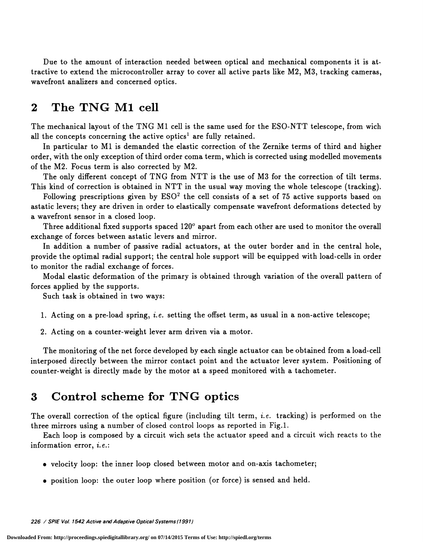Due to the amount of interaction needed between optical and mechanical components it is attractive to extend the microcontroller array to cover all active parts like M2, M3, tracking cameras, wavefront analizers and concerned optics.

### 2 The TNG Ml cell

The mechanical layout of the TNG Ml cell is the same used for the ESO-NTT telescope, from wich all the concepts concerning the active optics<sup>1</sup> are fully retained.

In particular to Ml is demanded the elastic correction of the Zernike terms of third and higher order, with the only exception of third order coma term, which is corrected using modelled movements of the M2. Focus term is also corrected by M2.

The only different concept of TNG from NTT is the use of M3 for the correction of tilt terms. This kind of correction is obtained in NTT in the usual way moving the whole telescope (tracking).

Following prescriptions given by  $ESO<sup>2</sup>$  the cell consists of a set of 75 active supports based on astatic levers; they are driven in order to elastically compensate wavefront deformations detected by a wavefront sensor in a closed ioop.

Three additional fixed supports spaced 120° apart from each other are used to monitor the overall exchange of forces between astatic levers and mirror.

In addition a number of passive radial actuators, at the outer border and in the central hole, provide the optimal radial support; the central hole support will be equipped with load-cells in order to monitor the radial exchange of forces.

Modal elastic deformation of the primary is obtained through variation of the overall pattern of forces applied by the supports.

Such task is obtained in two ways:

1. Acting on a pre-load spring, i.e. setting the offset term, as usual in a non-active telescope;

2. Acting on a counter-weight lever arm driven via a motor.

The monitoring of the net force developed by each single actuator can be obtained from a load-cell interposed directly between the mirror contact point and the actuator lever system. Positioning of counter-weight is directly made by the motor at a speed monitored with a tachometer.

#### 3 Control scheme for TNG optics

The overall correction of the optical figure (including tilt term, *i.e.* tracking) is performed on the three mirrors using a number of closed control loops as reported in Fig.1.

Each ioop is composed by a circuit wich sets the actuator speed and a circuit wich reacts to the information error, i.e.:

- velocity loop: the inner loop closed between motor and on-axis tachometer;
- position loop: the outer ioop where position (or force) is sensed and held.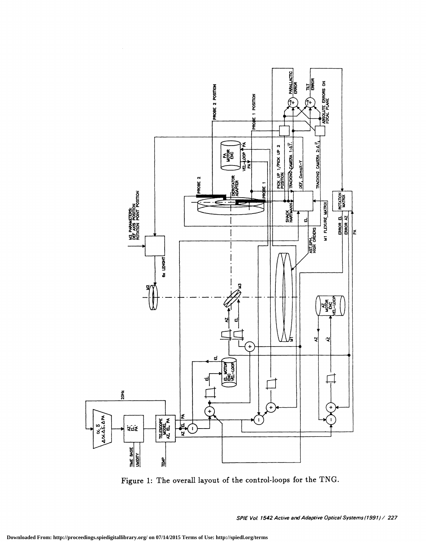

e o

 $\bar{z}$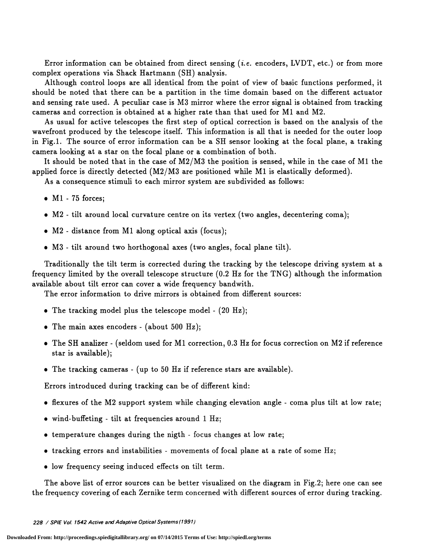Error information can be obtained from direct sensing  $(i.e.$  encoders, LVDT, etc.) or from more complex operations via Shack Hartmann (511) analysis.

Although control ioops are all identical from the point of view of basic functions performed, it should be noted that there can be a partition in the time domain based on the different actuator and sensing rate used. A peculiar case is M3 mirror where the error signal is obtained from tracking cameras and correction is obtained at a higher rate than that used for Ml and M2.

As usual for active telescopes the first step of optical correction is based on the analysis of the wavefront produced by the telescope itself. This information is all that is needed for the outer ioop in Fig.1. The source of error information can be a 511 sensor looking at the focal plane, a traking camera looking at a star on the focal plane or a combination of both.

It should be noted that in the case of M2/M3 the position is sensed, while in the case of Ml the applied force is directly detected (M2/M3 are positioned while Ml is elastically deformed).

As a consequence stimuli to each mirror system are subdivided as follows:

- $\bullet$  M1 75 forces;
- . M2 tilt around local curvature centre on its vertex (two angles, decentering coma);
- . M2 distance from Ml along optical axis (focus);
- . M3 tilt around two horthogonal axes (two angles, focal plane tilt).

Traditionally the tilt term is corrected during the tracking by the telescope driving system at a frequency limited by the overall telescope structure (0.2 Hz for the TNG) although the information available about tilt error can cover a wide frequency bandwith.

The error information to drive mirrors is obtained from different sources:

- The tracking model plus the telescope model  $(20 \text{ Hz})$ ;
- . The main axes encoders (about 500 Hz);
- . The SH anahzer (seldom used for Ml correction, 0.3 Hz for focus correction on M2 if reference star is available);
- . The tracking cameras (up to 50 Hz if reference stars are available).

Errors introduced during tracking can be of different kind:

- $\bullet$  flexures of the M2 support system while changing elevation angle coma plus tilt at low rate;
- . wind-buffeting tilt at frequencies around 1 Hz;
- temperature changes during the nigth focus changes at low rate;
- tracking errors and instabilities movements of focal plane at a rate of some Hz;
- low frequency seeing induced effects on tilt term.

The above list of error sources can be better visualized on the diagram in Fig.2; here one can see the frequency covering of each Zernike term concerned with different sources of error during tracking.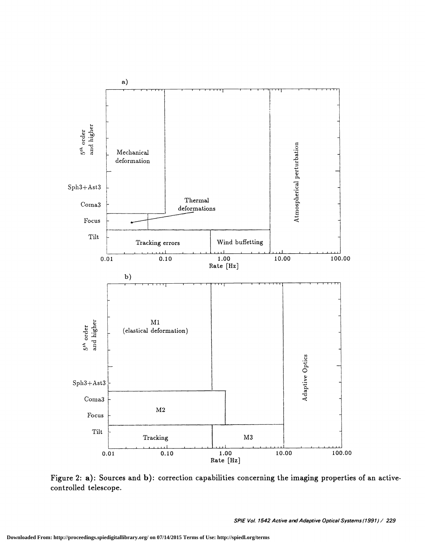

Figure 2: a): Sources and b): correction capabilities concerning the imaging properties of an activecontrolled telescope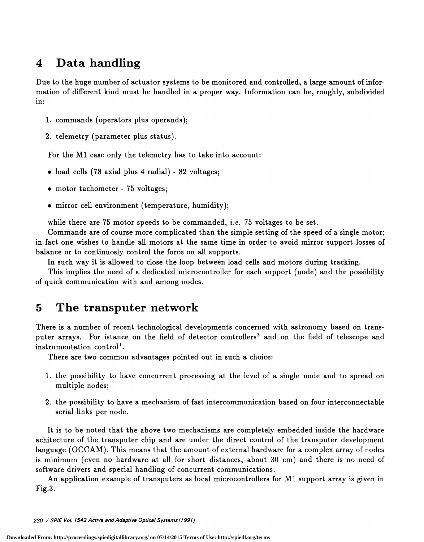## 4 Data handling

Due to the huge number of actuator systems to be monitored and controlled, a large amount of information of different kind must be handled in a proper way. Information can be, roughly, subdivided in:

- 1. commands (operators plus operands);
- 2. telemetry (parameter plus status).

For the Ml case only the telemetry has to take into account:

- $\bullet$  load cells (78 axial plus 4 radial) 82 voltages;
- motor tachometer 75 voltages;
- . mirror cell environment (temperature, humidity);

while there are  $75$  motor speeds to be commanded, *i.e.*  $75$  voltages to be set.

Commands are of course more complicated than the simple setting of the speed of a single motor; in fact one wishes to handle all motors at the same time in order to avoid mirror support losses of balance or to continuosly control the force on all supports.

In such way it is allowed to close the ioop between load cells and motors during tracking.

This implies the need of a dedicated microcontroller for each support (node) and the possibility of quick communication with and among nodes.

#### 5 The transputer network

There is a number of recent technological developments concerned with astronomy based on transputer arrays. For istance on the field of detector controllers<sup>3</sup> and on the field of telescope and instrumentation control<sup>4</sup>.

There are two common advantages pointed out in such a choice:

- 1 . the possibility to have concurrent processing at the level of a single node and to spread on multiple nodes;
- 2. the possibility to have a mechanism of fast intercommunication based on four interconnectable serial links per node.

It is to be noted that the above two mechanisms are completely embedded inside the hardware achitecture of the transputer chip and are under the direct control of the transputer development language (OCCAM). This means that the amount of external hardware for a complex array of nodes is minimum (even no hardware at all for short distances, about 30 cm) and there is no need of software drivers and special handling of concurrent communications.

An application example of transputers as local microcontrollers for Ml support array is given in Fig.3.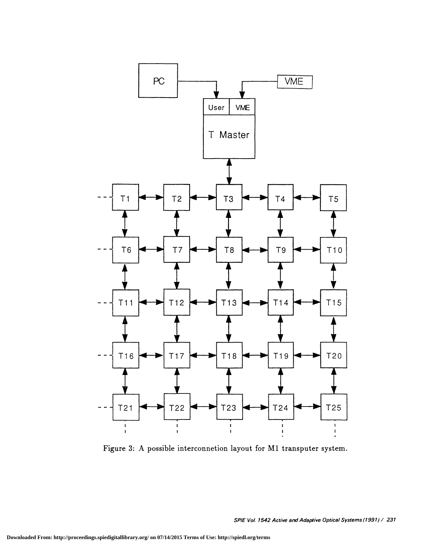

Figure 3: A possible interconnetion layout for Ml transputer system.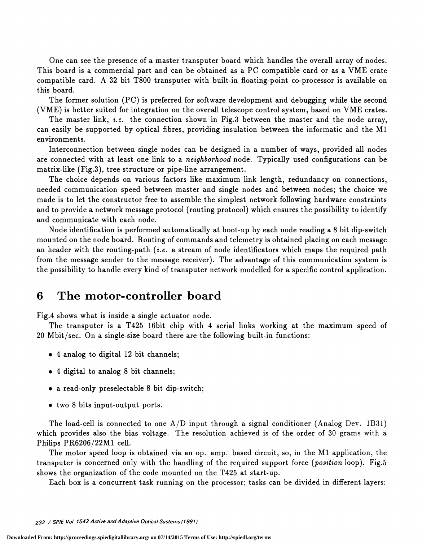One can see the presence of a master transputer board which handles the overall array of nodes. This board is a commercial part and can be obtained as a PC compatible card or as a VME crate compatible card. A 32 bit T800 transputer with built-in floating-point co-processor is available on this board.

The former solution (PC) is preferred for software development and debugging while the second ( VME) is better suited for integration on the overall telescope control system, based on VME crates.

The master link, *i.e.* the connection shown in Fig.3 between the master and the node array, can easily be supported by optical fibres, providing insulation between the informatic and the Ml environments.

Interconnection between single nodes can be designed in a number of ways, provided all nodes are connected with at least one link to a neighborhood node. Typically used configurations can be matrix-like (Fig.3), tree structure or pipe-line arrangement.

The choice depends on various factors like maximum link length, redundancy on connections, needed communication speed between master and single nodes and between nodes; the choice we made is to let the constructor free to assemble the simplest network following hardware constraints and to provide a network message protocol (routing protocol) which ensures the possibility to identify and communicate with each node.

Node identification is performed automatically at boot-up by each node reading a 8 bit dip-switch mounted on the node board. Routing of commands and telemetry is obtained placing on each message an header with the routing-path (*i.e.* a stream of node identificators which maps the required path from the message sender to the message receiver). The advantage of this communication system is the possibility to handle every kind of transputer network modelled for a specific control application.

#### 6 The motor-controller board

Fig.4 shows what is inside a single actuator node.

The transputer is a T425 l6bit chip with 4 serial links working at the maximum speed of 20 Mbit/sec. On a single-size board there are the following built-in functions:

- . 4 analog to digital 12 bit channels;
- . 4 digital to analog 8 bit channels;
- . a read-only preselectable 8 bit dip-switch;
- . two 8 bits input-output ports.

The load-cell is connected to one  $A/D$  input through a signal conditioner (Analog Dev. 1B31) which provides also the bias voltage. The resolution achieved is of the order of 30 grams with a Philips PR6206/22M1 cell.

The motor speed loop is obtained via an op. amp. based circuit, so, in the Ml application, the transputer is concerned only with the handling of the required support force (*position* loop). Fig.5 shows the organization of the code mounted on the T425 at start-up.

Each box is a concurrent task running on the processor; tasks can be divided in different layers: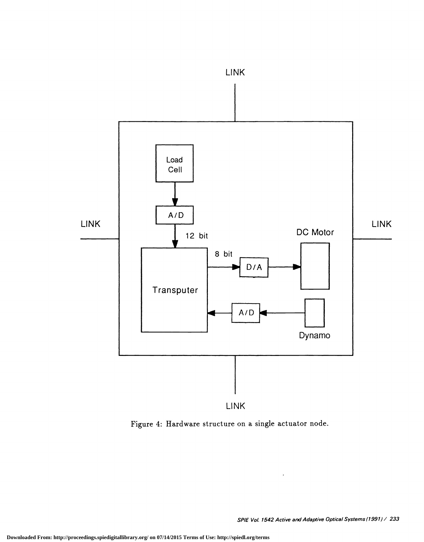

Figure 4: Hardware structure on a single actuator node.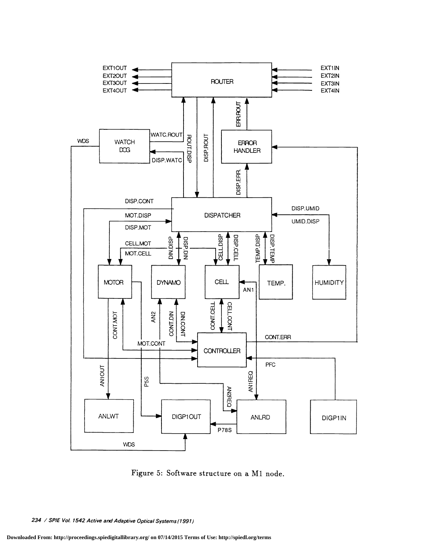

Figure 5: Software structure on a Ml node.

<sup>234 /</sup> SPIE Vol. 1542 Active and Adaptive Optical Systems (1991)